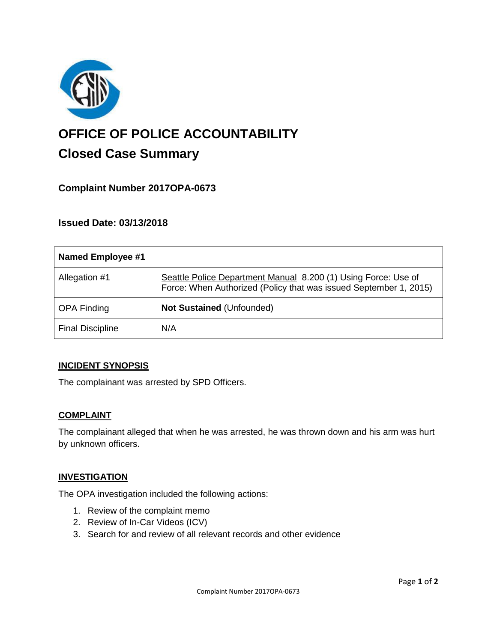

# **OFFICE OF POLICE ACCOUNTABILITY**

# **Closed Case Summary**

# **Complaint Number 2017OPA-0673**

# **Issued Date: 03/13/2018**

| Named Employee #1       |                                                                                                                                     |
|-------------------------|-------------------------------------------------------------------------------------------------------------------------------------|
| Allegation #1           | Seattle Police Department Manual 8.200 (1) Using Force: Use of<br>Force: When Authorized (Policy that was issued September 1, 2015) |
| <b>OPA Finding</b>      | Not Sustained (Unfounded)                                                                                                           |
| <b>Final Discipline</b> | N/A                                                                                                                                 |

## **INCIDENT SYNOPSIS**

The complainant was arrested by SPD Officers.

#### **COMPLAINT**

The complainant alleged that when he was arrested, he was thrown down and his arm was hurt by unknown officers.

#### **INVESTIGATION**

The OPA investigation included the following actions:

- 1. Review of the complaint memo
- 2. Review of In-Car Videos (ICV)
- 3. Search for and review of all relevant records and other evidence